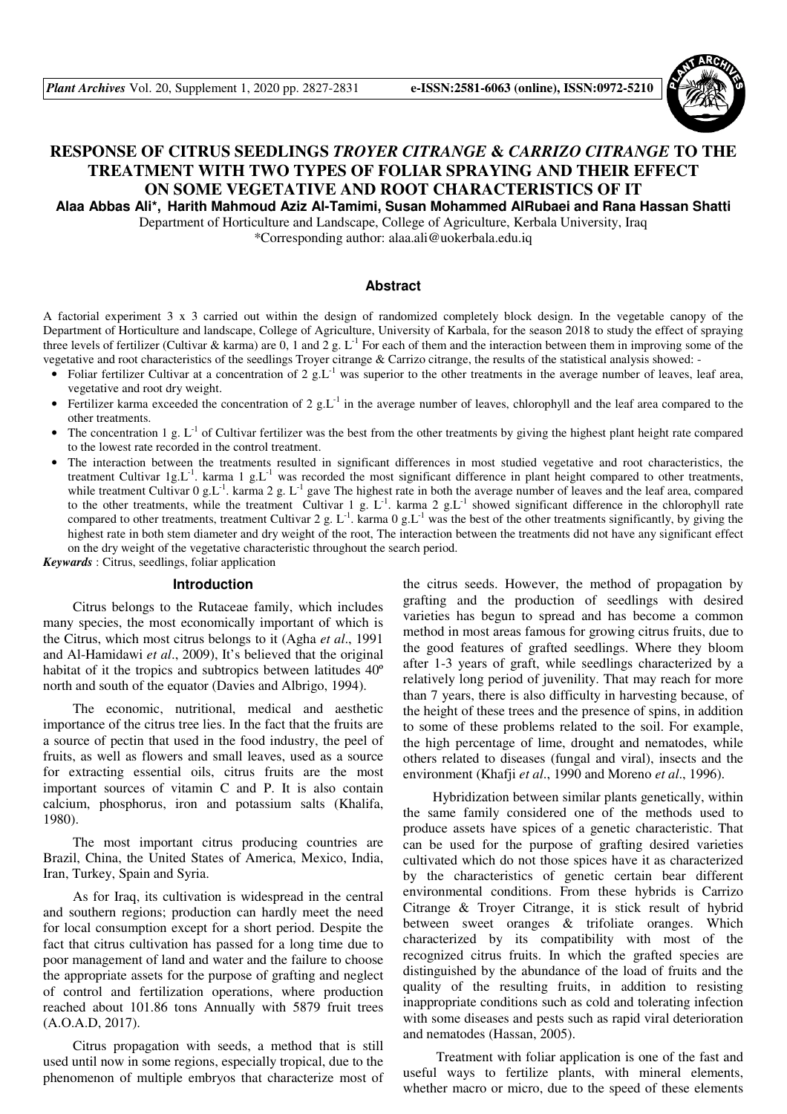

# **RESPONSE OF CITRUS SEEDLINGS** *TROYER CITRANGE* **&** *CARRIZO CITRANGE* **TO THE TREATMENT WITH TWO TYPES OF FOLIAR SPRAYING AND THEIR EFFECT ON SOME VEGETATIVE AND ROOT CHARACTERISTICS OF IT Alaa Abbas Ali\*, Harith Mahmoud Aziz Al-Tamimi, Susan Mohammed AlRubaei and Rana Hassan Shatti**

Department of Horticulture and Landscape, College of Agriculture, Kerbala University, Iraq \*Corresponding author: alaa.ali@uokerbala.edu.iq

#### **Abstract**

A factorial experiment 3 x 3 carried out within the design of randomized completely block design. In the vegetable canopy of the Department of Horticulture and landscape, College of Agriculture, University of Karbala, for the season 2018 to study the effect of spraying three levels of fertilizer (Cultivar & karma) are 0, 1 and 2 g.  $L^{-1}$  For each of them and the interaction between them in improving some of the vegetative and root characteristics of the seedlings Troyer citrange & Carrizo citrange, the results of the statistical analysis showed: -

- Foliar fertilizer Cultivar at a concentration of 2 g.L<sup>-1</sup> was superior to the other treatments in the average number of leaves, leaf area, vegetative and root dry weight.
- Fertilizer karma exceeded the concentration of  $2 \text{ g.L}^{-1}$  in the average number of leaves, chlorophyll and the leaf area compared to the other treatments.
- The concentration 1 g.  $L^{-1}$  of Cultivar fertilizer was the best from the other treatments by giving the highest plant height rate compared to the lowest rate recorded in the control treatment.
- The interaction between the treatments resulted in significant differences in most studied vegetative and root characteristics, the treatment Cultivar  $1g.L^{-1}$ . karma  $1g.L^{-1}$  was recorded the most significant difference in plant height compared to other treatments, while treatment Cultivar 0 g.L<sup>-1</sup>. karma 2 g. L<sup>-1</sup> gave The highest rate in both the average number of leaves and the leaf area, compared to the other treatments, while the treatment Cultivar 1 g.  $L^{-1}$ . karma 2 g.L<sup>-1</sup> showed significant difference in the chlorophyll rate compared to other treatments, treatment Cultivar 2 g. L<sup>-1</sup>. karma 0 g.L<sup>-1</sup> was the best of the other treatments significantly, by giving the highest rate in both stem diameter and dry weight of the root, The interaction between the treatments did not have any significant effect on the dry weight of the vegetative characteristic throughout the search period.

*Keywards* : Citrus, seedlings, foliar application

#### **Introduction**

Citrus belongs to the Rutaceae family, which includes many species, the most economically important of which is the Citrus, which most citrus belongs to it (Agha *et al*., 1991 and Al-Hamidawi *et al*., 2009), It's believed that the original habitat of it the tropics and subtropics between latitudes 40º north and south of the equator (Davies and Albrigo, 1994).

The economic, nutritional, medical and aesthetic importance of the citrus tree lies. In the fact that the fruits are a source of pectin that used in the food industry, the peel of fruits, as well as flowers and small leaves, used as a source for extracting essential oils, citrus fruits are the most important sources of vitamin C and P. It is also contain calcium, phosphorus, iron and potassium salts (Khalifa, 1980).

The most important citrus producing countries are Brazil, China, the United States of America, Mexico, India, Iran, Turkey, Spain and Syria.

As for Iraq, its cultivation is widespread in the central and southern regions; production can hardly meet the need for local consumption except for a short period. Despite the fact that citrus cultivation has passed for a long time due to poor management of land and water and the failure to choose the appropriate assets for the purpose of grafting and neglect of control and fertilization operations, where production reached about 101.86 tons Annually with 5879 fruit trees (A.O.A.D, 2017).

Citrus propagation with seeds, a method that is still used until now in some regions, especially tropical, due to the phenomenon of multiple embryos that characterize most of the citrus seeds. However, the method of propagation by grafting and the production of seedlings with desired varieties has begun to spread and has become a common method in most areas famous for growing citrus fruits, due to the good features of grafted seedlings. Where they bloom after 1-3 years of graft, while seedlings characterized by a relatively long period of juvenility. That may reach for more than 7 years, there is also difficulty in harvesting because, of the height of these trees and the presence of spins, in addition to some of these problems related to the soil. For example, the high percentage of lime, drought and nematodes, while others related to diseases (fungal and viral), insects and the environment (Khafji *et al*., 1990 and Moreno *et al*., 1996).

Hybridization between similar plants genetically, within the same family considered one of the methods used to produce assets have spices of a genetic characteristic. That can be used for the purpose of grafting desired varieties cultivated which do not those spices have it as characterized by the characteristics of genetic certain bear different environmental conditions. From these hybrids is Carrizo Citrange & Troyer Citrange, it is stick result of hybrid between sweet oranges & trifoliate oranges. Which characterized by its compatibility with most of the recognized citrus fruits. In which the grafted species are distinguished by the abundance of the load of fruits and the quality of the resulting fruits, in addition to resisting inappropriate conditions such as cold and tolerating infection with some diseases and pests such as rapid viral deterioration and nematodes (Hassan, 2005).

 Treatment with foliar application is one of the fast and useful ways to fertilize plants, with mineral elements, whether macro or micro, due to the speed of these elements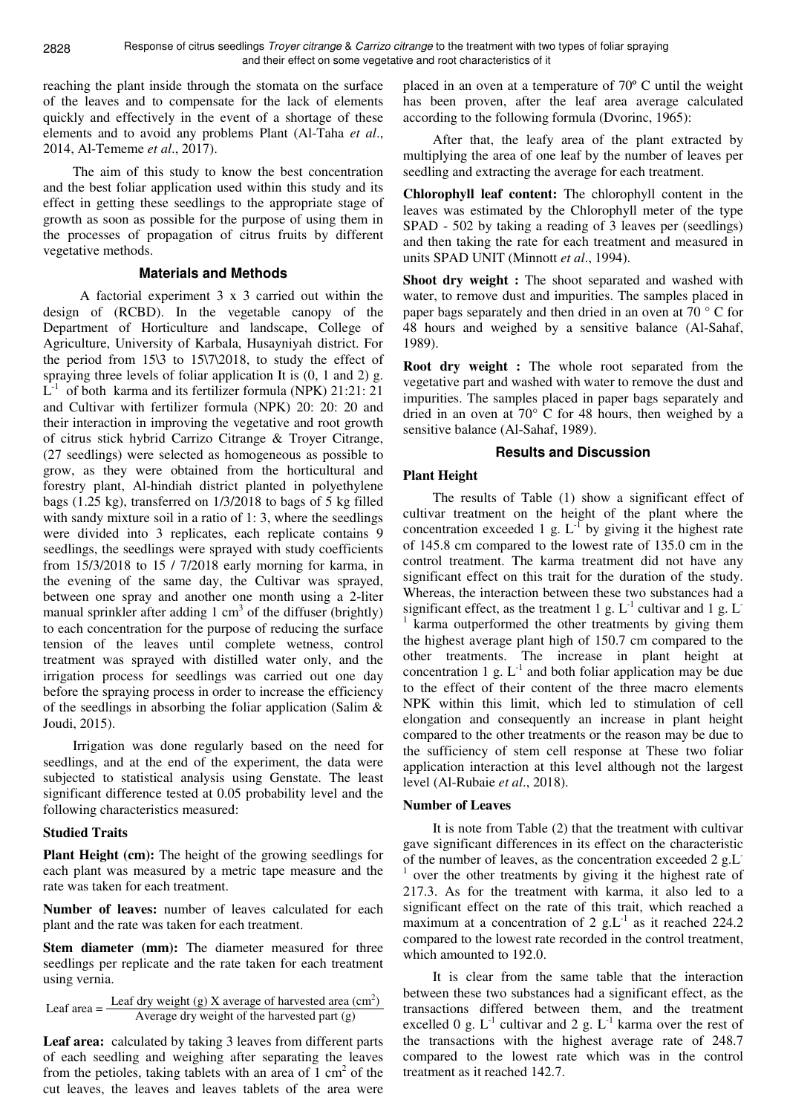reaching the plant inside through the stomata on the surface of the leaves and to compensate for the lack of elements quickly and effectively in the event of a shortage of these elements and to avoid any problems Plant (Al-Taha *et al*., 2014, Al-Tememe *et al*., 2017).

The aim of this study to know the best concentration and the best foliar application used within this study and its effect in getting these seedlings to the appropriate stage of growth as soon as possible for the purpose of using them in the processes of propagation of citrus fruits by different vegetative methods.

### **Materials and Methods**

 A factorial experiment 3 x 3 carried out within the design of (RCBD). In the vegetable canopy of the Department of Horticulture and landscape, College of Agriculture, University of Karbala, Husayniyah district. For the period from 15\3 to 15\7\2018, to study the effect of spraying three levels of foliar application It is (0, 1 and 2) g.  $L^{-1}$  of both karma and its fertilizer formula (NPK) 21:21: 21 and Cultivar with fertilizer formula (NPK) 20: 20: 20 and their interaction in improving the vegetative and root growth of citrus stick hybrid Carrizo Citrange & Troyer Citrange, (27 seedlings) were selected as homogeneous as possible to grow, as they were obtained from the horticultural and forestry plant, Al-hindiah district planted in polyethylene bags (1.25 kg), transferred on 1/3/2018 to bags of 5 kg filled with sandy mixture soil in a ratio of 1:3, where the seedlings were divided into 3 replicates, each replicate contains 9 seedlings, the seedlings were sprayed with study coefficients from 15/3/2018 to 15 / 7/2018 early morning for karma, in the evening of the same day, the Cultivar was sprayed, between one spray and another one month using a 2-liter manual sprinkler after adding  $1 \text{ cm}^3$  of the diffuser (brightly) to each concentration for the purpose of reducing the surface tension of the leaves until complete wetness, control treatment was sprayed with distilled water only, and the irrigation process for seedlings was carried out one day before the spraying process in order to increase the efficiency of the seedlings in absorbing the foliar application (Salim  $\&$ Joudi, 2015).

Irrigation was done regularly based on the need for seedlings, and at the end of the experiment, the data were subjected to statistical analysis using Genstate. The least significant difference tested at 0.05 probability level and the following characteristics measured:

#### **Studied Traits**

**Plant Height (cm):** The height of the growing seedlings for each plant was measured by a metric tape measure and the rate was taken for each treatment.

**Number of leaves:** number of leaves calculated for each plant and the rate was taken for each treatment.

Stem diameter (mm): The diameter measured for three seedlings per replicate and the rate taken for each treatment using vernia.

Leaf area  $=$  Leaf dry weight (g) X average of harvested area (cm<sup>2</sup>)<br>Average dry weight of the harvested part (g)

**Leaf area:** calculated by taking 3 leaves from different parts of each seedling and weighing after separating the leaves from the petioles, taking tablets with an area of  $1 \text{ cm}^2$  of the cut leaves, the leaves and leaves tablets of the area were

placed in an oven at a temperature of 70º C until the weight has been proven, after the leaf area average calculated according to the following formula (Dvorinc, 1965):

After that, the leafy area of the plant extracted by multiplying the area of one leaf by the number of leaves per seedling and extracting the average for each treatment.

**Chlorophyll leaf content:** The chlorophyll content in the leaves was estimated by the Chlorophyll meter of the type SPAD - 502 by taking a reading of 3 leaves per (seedlings) and then taking the rate for each treatment and measured in units SPAD UNIT (Minnott *et al*., 1994).

Shoot dry weight : The shoot separated and washed with water, to remove dust and impurities. The samples placed in paper bags separately and then dried in an oven at 70 ° C for 48 hours and weighed by a sensitive balance (Al-Sahaf, 1989).

**Root dry weight :** The whole root separated from the vegetative part and washed with water to remove the dust and impurities. The samples placed in paper bags separately and dried in an oven at 70° C for 48 hours, then weighed by a sensitive balance (Al-Sahaf, 1989).

# **Results and Discussion**

# **Plant Height**

The results of Table (1) show a significant effect of cultivar treatment on the height of the plant where the concentration exceeded 1 g.  $L^{-1}$  by giving it the highest rate of 145.8 cm compared to the lowest rate of 135.0 cm in the control treatment. The karma treatment did not have any significant effect on this trait for the duration of the study. Whereas, the interaction between these two substances had a significant effect, as the treatment 1 g.  $L^{-1}$  cultivar and 1 g.  $L^{-1}$ 1 karma outperformed the other treatments by giving them the highest average plant high of 150.7 cm compared to the other treatments. The increase in plant height at concentration 1 g.  $L^{-1}$  and both foliar application may be due to the effect of their content of the three macro elements NPK within this limit, which led to stimulation of cell elongation and consequently an increase in plant height compared to the other treatments or the reason may be due to the sufficiency of stem cell response at These two foliar application interaction at this level although not the largest level (Al-Rubaie *et al*., 2018).

#### **Number of Leaves**

It is note from Table (2) that the treatment with cultivar gave significant differences in its effect on the characteristic of the number of leaves, as the concentration exceeded 2 g.L-1 over the other treatments by giving it the highest rate of 217.3. As for the treatment with karma, it also led to a significant effect on the rate of this trait, which reached a maximum at a concentration of 2 g.L<sup>-1</sup> as it reached 224.2 compared to the lowest rate recorded in the control treatment, which amounted to 192.0.

It is clear from the same table that the interaction between these two substances had a significant effect, as the transactions differed between them, and the treatment excelled 0 g.  $L^{-1}$  cultivar and 2 g.  $L^{-1}$  karma over the rest of the transactions with the highest average rate of 248.7 compared to the lowest rate which was in the control treatment as it reached 142.7.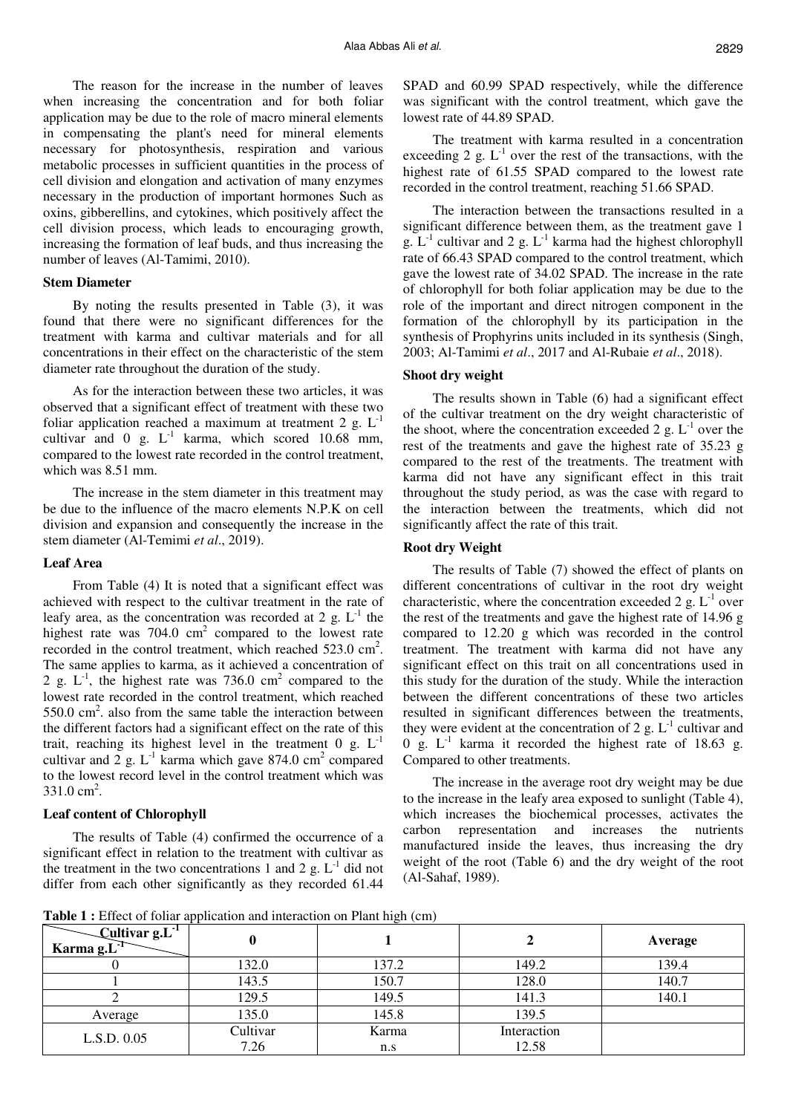The reason for the increase in the number of leaves when increasing the concentration and for both foliar application may be due to the role of macro mineral elements in compensating the plant's need for mineral elements necessary for photosynthesis, respiration and various metabolic processes in sufficient quantities in the process of cell division and elongation and activation of many enzymes necessary in the production of important hormones Such as oxins, gibberellins, and cytokines, which positively affect the cell division process, which leads to encouraging growth, increasing the formation of leaf buds, and thus increasing the number of leaves (Al-Tamimi, 2010).

#### **Stem Diameter**

By noting the results presented in Table (3), it was found that there were no significant differences for the treatment with karma and cultivar materials and for all concentrations in their effect on the characteristic of the stem diameter rate throughout the duration of the study.

As for the interaction between these two articles, it was observed that a significant effect of treatment with these two foliar application reached a maximum at treatment 2 g.  $L^{-1}$ cultivar and  $0 \text{ g. } L^{-1}$  karma, which scored  $10.68 \text{ mm}$ , compared to the lowest rate recorded in the control treatment, which was 8.51 mm.

The increase in the stem diameter in this treatment may be due to the influence of the macro elements N.P.K on cell division and expansion and consequently the increase in the stem diameter (Al-Temimi *et al*., 2019).

#### **Leaf Area**

From Table (4) It is noted that a significant effect was achieved with respect to the cultivar treatment in the rate of leafy area, as the concentration was recorded at 2 g.  $L^{-1}$  the highest rate was  $704.0 \text{ cm}^2$  compared to the lowest rate recorded in the control treatment, which reached  $523.0 \text{ cm}^2$ . The same applies to karma, as it achieved a concentration of 2 g.  $L^{-1}$ , the highest rate was 736.0 cm<sup>2</sup> compared to the lowest rate recorded in the control treatment, which reached  $550.0 \text{ cm}^2$ . also from the same table the interaction between the different factors had a significant effect on the rate of this trait, reaching its highest level in the treatment  $0 \text{ g. } L^{-1}$ cultivar and 2 g.  $L^{-1}$  karma which gave 874.0 cm<sup>2</sup> compared to the lowest record level in the control treatment which was  $331.0 \text{ cm}^2$ .

#### **Leaf content of Chlorophyll**

The results of Table (4) confirmed the occurrence of a significant effect in relation to the treatment with cultivar as the treatment in the two concentrations 1 and 2 g.  $L^{-1}$  did not differ from each other significantly as they recorded 61.44

SPAD and 60.99 SPAD respectively, while the difference was significant with the control treatment, which gave the lowest rate of 44.89 SPAD.

The treatment with karma resulted in a concentration exceeding 2 g.  $L^{-1}$  over the rest of the transactions, with the highest rate of 61.55 SPAD compared to the lowest rate recorded in the control treatment, reaching 51.66 SPAD.

The interaction between the transactions resulted in a significant difference between them, as the treatment gave 1 g.  $L^{-1}$  cultivar and 2 g.  $L^{-1}$  karma had the highest chlorophyll rate of 66.43 SPAD compared to the control treatment, which gave the lowest rate of 34.02 SPAD. The increase in the rate of chlorophyll for both foliar application may be due to the role of the important and direct nitrogen component in the formation of the chlorophyll by its participation in the synthesis of Prophyrins units included in its synthesis (Singh, 2003; Al-Tamimi *et al*., 2017 and Al-Rubaie *et al*., 2018).

# **Shoot dry weight**

The results shown in Table (6) had a significant effect of the cultivar treatment on the dry weight characteristic of the shoot, where the concentration exceeded 2 g.  $L^{-1}$  over the rest of the treatments and gave the highest rate of 35.23 g compared to the rest of the treatments. The treatment with karma did not have any significant effect in this trait throughout the study period, as was the case with regard to the interaction between the treatments, which did not significantly affect the rate of this trait.

# **Root dry Weight**

The results of Table (7) showed the effect of plants on different concentrations of cultivar in the root dry weight characteristic, where the concentration exceeded 2 g.  $L^{-1}$  over the rest of the treatments and gave the highest rate of 14.96 g compared to 12.20 g which was recorded in the control treatment. The treatment with karma did not have any significant effect on this trait on all concentrations used in this study for the duration of the study. While the interaction between the different concentrations of these two articles resulted in significant differences between the treatments, they were evident at the concentration of 2 g.  $L^{-1}$  cultivar and 0 g.  $L^{-1}$  karma it recorded the highest rate of 18.63 g. Compared to other treatments.

The increase in the average root dry weight may be due to the increase in the leafy area exposed to sunlight (Table 4), which increases the biochemical processes, activates the carbon representation and increases the nutrients manufactured inside the leaves, thus increasing the dry weight of the root (Table 6) and the dry weight of the root (Al-Sahaf, 1989).

**Table 1 :** Effect of foliar application and interaction on Plant high (cm)

| —Cultivar g. $L^1$<br>Karma g.L <sup>-1</sup> |                  |              |                      | Average |
|-----------------------------------------------|------------------|--------------|----------------------|---------|
|                                               | 132.0            | 137.2        | 149.2                | 139.4   |
|                                               | 143.5            | 150.7        | 128.0                | 140.7   |
|                                               | 129.5            | 149.5        | 141.3                | 140.1   |
| Average                                       | 135.0            | 145.8        | 139.5                |         |
| L.S.D. 0.05                                   | Cultivar<br>7.26 | Karma<br>n.s | Interaction<br>12.58 |         |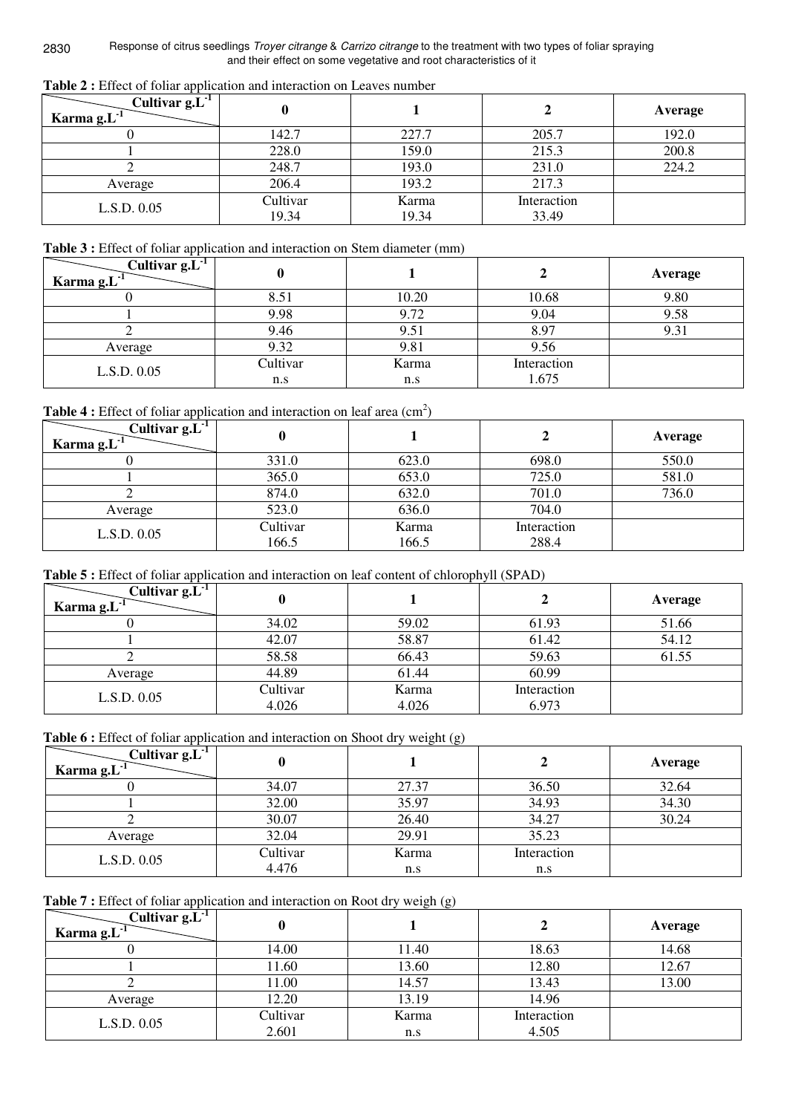2830 Response of citrus seedlings Troyer citrange & Carrizo citrange to the treatment with two types of foliar spraying and their effect on some vegetative and root characteristics of it

| Table 2 : Effect of foliar application and interaction on Leaves number |
|-------------------------------------------------------------------------|
|-------------------------------------------------------------------------|

| Cultivar $g.L^{-1}$<br>Karma $g.L^{-1}$ |                   |                |                      | Average |
|-----------------------------------------|-------------------|----------------|----------------------|---------|
|                                         | 142.7             | 227.7          | 205.7                | 192.0   |
|                                         | 228.0             | 159.0          | 215.3                | 200.8   |
|                                         | 248.7             | 193.0          | 231.0                | 224.2   |
| Average                                 | 206.4             | 193.2          | 217.3                |         |
| L.S.D. 0.05                             | Cultivar<br>19.34 | Karma<br>19.34 | Interaction<br>33.49 |         |

# Table 3 : Effect of foliar application and interaction on Stem diameter (mm)

| Cultivar $g.L^{-1}$<br>Karma $g.L^{-1}$ |          |       |             | Average |
|-----------------------------------------|----------|-------|-------------|---------|
|                                         |          | 10.20 | 10.68       | 9.80    |
|                                         | 9.98     | 9.72  | 9.04        | 9.58    |
|                                         | 9.46     | 9.51  | 8.97        | 9.31    |
| Average                                 | 9.32     | 9.81  | 9.56        |         |
| L.S.D. 0.05                             | Cultivar | Karma | Interaction |         |
|                                         | n.s      | n.s   | 1.675       |         |

**Table 4**: Effect of foliar application and interaction on leaf area  $(cm<sup>2</sup>)$ 

| Cultivar $g.L1$<br>Karma $g.L^{-1}$ |                   |                |                      | Average |
|-------------------------------------|-------------------|----------------|----------------------|---------|
|                                     | 331.0             | 623.0          | 698.0                | 550.0   |
|                                     | 365.0             | 653.0          | 725.0                | 581.0   |
|                                     | 874.0             | 632.0          | 701.0                | 736.0   |
| Average                             | 523.0             | 636.0          | 704.0                |         |
| L.S.D. 0.05                         | Cultivar<br>166.5 | Karma<br>166.5 | Interaction<br>288.4 |         |

# **Table 5 :** Effect of foliar application and interaction on leaf content of chlorophyll (SPAD)

| Cultivar $gL1$<br>Karma $g.L^{-1}$ |                   |                |                      | Average |
|------------------------------------|-------------------|----------------|----------------------|---------|
|                                    | 34.02             | 59.02          | 61.93                | 51.66   |
|                                    | 42.07             | 58.87          | 61.42                | 54.12   |
|                                    | 58.58             | 66.43          | 59.63                | 61.55   |
| Average                            | 44.89             | 61.44          | 60.99                |         |
| L.S.D. 0.05                        | Cultivar<br>4.026 | Karma<br>4.026 | Interaction<br>6.973 |         |

Table 6 : Effect of foliar application and interaction on Shoot dry weight (g)

| Cultivar $g.L^{-1}$<br>Karma $g.L^{-1}$ |          |       |             | Average |
|-----------------------------------------|----------|-------|-------------|---------|
|                                         | 34.07    | 27.37 | 36.50       | 32.64   |
|                                         | 32.00    | 35.97 | 34.93       | 34.30   |
|                                         | 30.07    | 26.40 | 34.27       | 30.24   |
| Average                                 | 32.04    | 29.91 | 35.23       |         |
| L.S.D. 0.05                             | Cultivar | Karma | Interaction |         |
|                                         | 4.476    | n.s   | n.s         |         |

**Table 7 :** Effect of foliar application and interaction on Root dry weigh (g)

| Cultivar $g.L^{-1}$<br>Karma $g.L^{-1}$ |          |       |             | Average |
|-----------------------------------------|----------|-------|-------------|---------|
|                                         | 14.00    | 11.40 | 18.63       | 14.68   |
|                                         | 11.60    | 13.60 | 12.80       | 12.67   |
|                                         | 11.00    | 14.57 | 13.43       | 13.00   |
| Average                                 | 12.20    | 13.19 | 14.96       |         |
| L.S.D. 0.05                             | Cultivar | Karma | Interaction |         |
|                                         | 2.601    | n.s   | 4.505       |         |